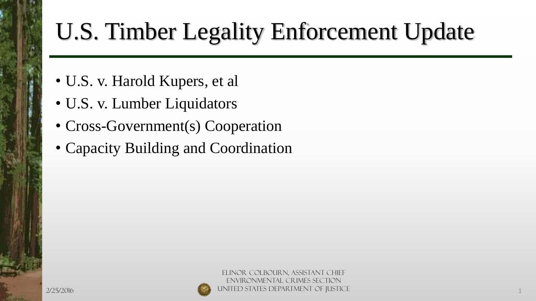# U.S. Timber Legality Enforcement Update

- U.S. v. Harold Kupers, et al
- U.S. v. Lumber Liquidators
- Cross-Government(s) Cooperation
- Capacity Building and Coordination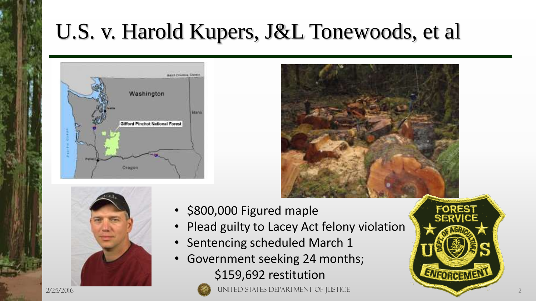### U.S. v. Harold Kupers, J&L Tonewoods, et al







- \$800,000 Figured maple
- Plead guilty to Lacey Act felony violation
- Sentencing scheduled March 1
- Government seeking 24 months; \$159,692 restitution



ENFORGEMEN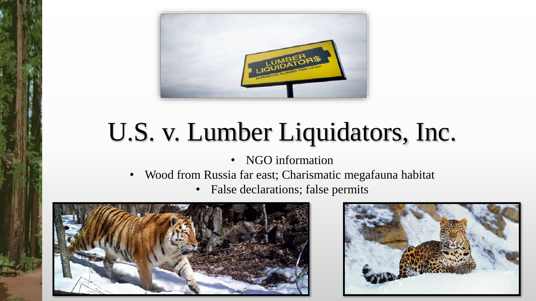

# U.S. v. Lumber Liquidators, Inc.

- NGO information
- Wood from Russia far east; Charismatic megafauna habitat
	- False declarations; false permits



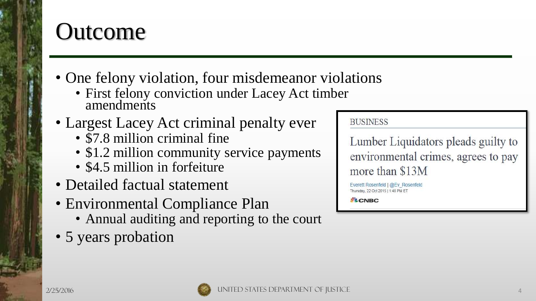#### **Outcome**

- One felony violation, four misdemeanor violations
	- First felony conviction under Lacey Act timber amendments
- Largest Lacey Act criminal penalty ever
	- $$7.8$  million criminal fine
	- \$1.2 million community service payments
	- \$4.5 million in forfeiture
- Detailed factual statement
- Environmental Compliance Plan
	- Annual auditing and reporting to the court
- 5 years probation

**BUSINESS** 

Lumber Liquidators pleads guilty to environmental crimes, agrees to pay more than \$13M

Everett Rosenfeld | @Ev Rosenfeld Thursday, 22 Oct 2015 | 1:48 PM ET

**SL** CNBC

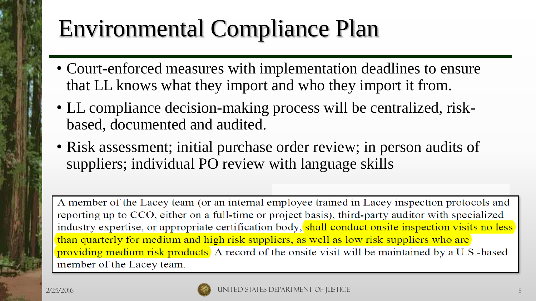## Environmental Compliance Plan

- Court-enforced measures with implementation deadlines to ensure that LL knows what they import and who they import it from.
- LL compliance decision-making process will be centralized, riskbased, documented and audited.
- Risk assessment; initial purchase order review; in person audits of suppliers; individual PO review with language skills

A member of the Lacey team (or an internal employee trained in Lacey inspection protocols and reporting up to CCO, either on a full-time or project basis), third-party auditor with specialized industry expertise, or appropriate certification body, shall conduct onsite inspection visits no less than quarterly for medium and high risk suppliers, as well as low risk suppliers who are providing medium risk products. A record of the onsite visit will be maintained by a U.S.-based member of the Lacey team.

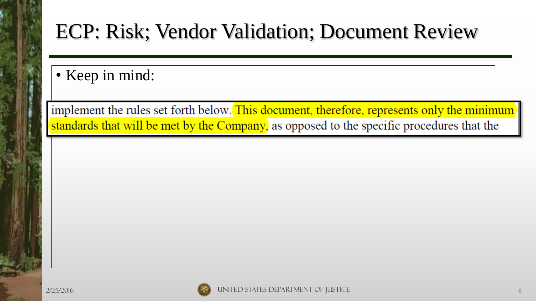#### ECP: Risk; Vendor Validation; Document Review

• Keep in mind:

implement the rules set forth below. This document, therefore, represents only the minimum standards that will be met by the Company, as opposed to the specific procedures that the

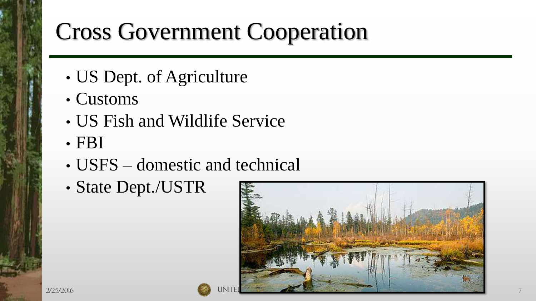### Cross Government Cooperation

- US Dept. of Agriculture
- Customs
- US Fish and Wildlife Service
- FBI
- USFS domestic and technical
- State Dept./USTR